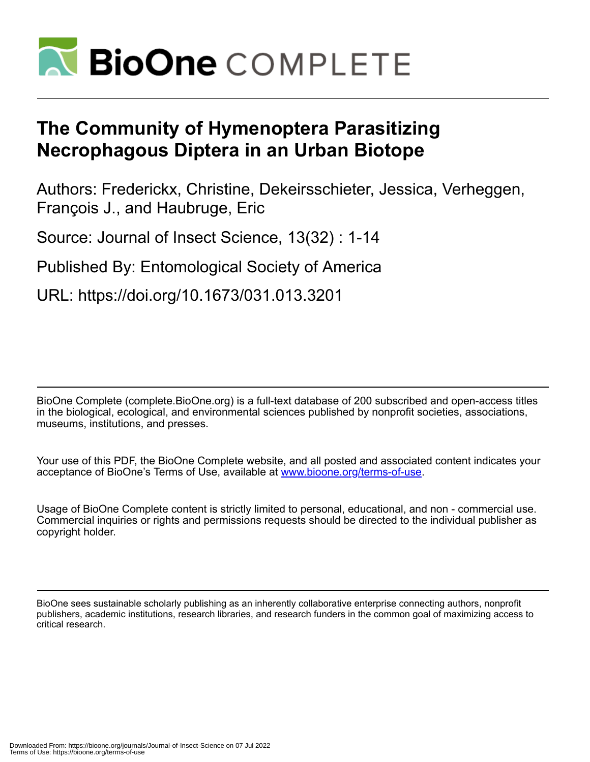

# **The Community of Hymenoptera Parasitizing Necrophagous Diptera in an Urban Biotope**

Authors: Frederickx, Christine, Dekeirsschieter, Jessica, Verheggen, François J., and Haubruge, Eric

Source: Journal of Insect Science, 13(32) : 1-14

Published By: Entomological Society of America

URL: https://doi.org/10.1673/031.013.3201

BioOne Complete (complete.BioOne.org) is a full-text database of 200 subscribed and open-access titles in the biological, ecological, and environmental sciences published by nonprofit societies, associations, museums, institutions, and presses.

Your use of this PDF, the BioOne Complete website, and all posted and associated content indicates your acceptance of BioOne's Terms of Use, available at www.bioone.org/terms-of-use.

Usage of BioOne Complete content is strictly limited to personal, educational, and non - commercial use. Commercial inquiries or rights and permissions requests should be directed to the individual publisher as copyright holder.

BioOne sees sustainable scholarly publishing as an inherently collaborative enterprise connecting authors, nonprofit publishers, academic institutions, research libraries, and research funders in the common goal of maximizing access to critical research.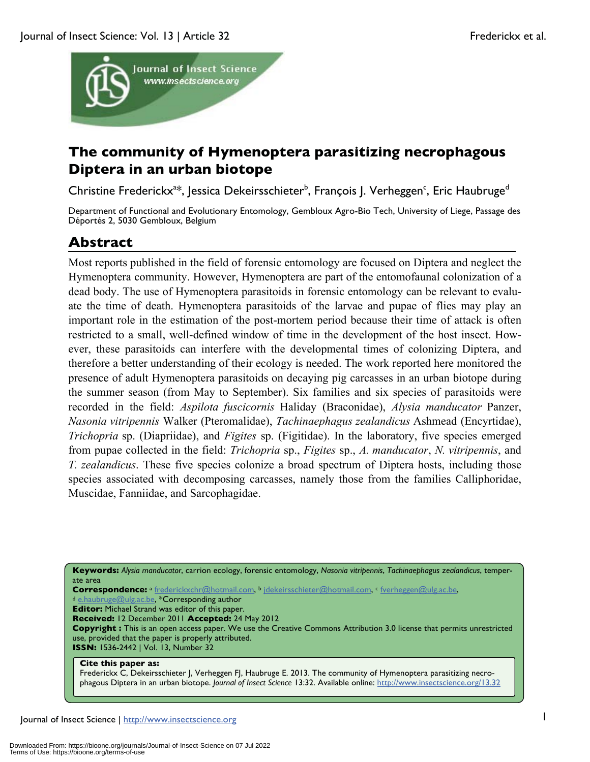

## **The community of Hymenoptera parasitizing necrophagous Diptera in an urban biotope**

Christine Frederickx<sup>a\*</sup>, Jessica Dekeirsschieter<sup>b</sup>, François J. Verheggen<sup>c</sup>, Eric Haubruge<sup>d</sup>

Department of Functional and Evolutionary Entomology, Gembloux Agro-Bio Tech, University of Liege, Passage des Déportés 2, 5030 Gembloux, Belgium

# **Abstract**

Most reports published in the field of forensic entomology are focused on Diptera and neglect the Hymenoptera community. However, Hymenoptera are part of the entomofaunal colonization of a dead body. The use of Hymenoptera parasitoids in forensic entomology can be relevant to evaluate the time of death. Hymenoptera parasitoids of the larvae and pupae of flies may play an important role in the estimation of the post-mortem period because their time of attack is often restricted to a small, well-defined window of time in the development of the host insect. However, these parasitoids can interfere with the developmental times of colonizing Diptera, and therefore a better understanding of their ecology is needed. The work reported here monitored the presence of adult Hymenoptera parasitoids on decaying pig carcasses in an urban biotope during the summer season (from May to September). Six families and six species of parasitoids were recorded in the field: *Aspilota fuscicornis* Haliday (Braconidae), *Alysia manducator* Panzer, *Nasonia vitripennis* Walker (Pteromalidae), *Tachinaephagus zealandicus* Ashmead (Encyrtidae), *Trichopria* sp. (Diapriidae), and *Figites* sp. (Figitidae). In the laboratory, five species emerged from pupae collected in the field: *Trichopria* sp., *Figites* sp., *A. manducator*, *N. vitripennis*, and *T. zealandicus*. These five species colonize a broad spectrum of Diptera hosts, including those species associated with decomposing carcasses, namely those from the families Calliphoridae, Muscidae, Fanniidae, and Sarcophagidae.

**Keywords:** *Alysia manducator*, carrion ecology, forensic entomology, *Nasonia vitripennis*, *Tachinaephagus zealandicus*, temperate area

Correspondence: a <u>frederickxchr@hotmail.com</u>, b jdekeirsschieter@hotmail.com, c fverheggen@ulg.ac.be, \*Corresponding author dielections.com, c fverheggen@ulg.ac.be, \*Corresponding author

**Editor:** Michael Strand was editor of this paper.

**Received:** 12 December 2011 **Accepted:** 24 May 2012

**Copyright :** This is an open access paper. We use the Creative Commons Attribution 3.0 license that permits unrestricted use, provided that the paper is properly attributed. **ISSN:** 1536-2442 | Vol. 13, Number 32

#### **Cite this paper as:**

Frederickx C, Dekeirsschieter J, Verheggen FJ, Haubruge E. 2013. The community of Hymenoptera parasitizing necrophagous Diptera in an urban biotope. *Journal of Insect Science* 13:32. Available online: http://www.insectscience.org/13.32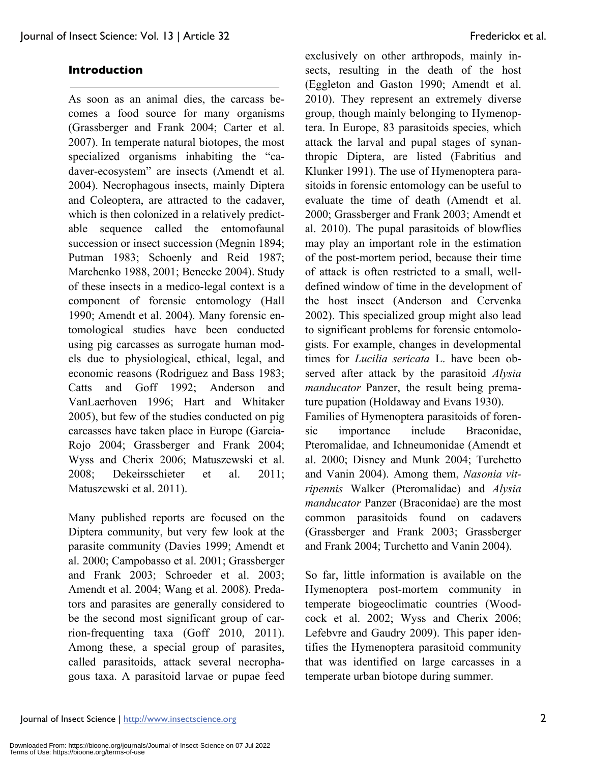### **Introduction**

As soon as an animal dies, the carcass becomes a food source for many organisms (Grassberger and Frank 2004; Carter et al. 2007). In temperate natural biotopes, the most specialized organisms inhabiting the "cadaver-ecosystem" are insects (Amendt et al. 2004). Necrophagous insects, mainly Diptera and Coleoptera, are attracted to the cadaver, which is then colonized in a relatively predictable sequence called the entomofaunal succession or insect succession (Megnin 1894; Putman 1983; Schoenly and Reid 1987; Marchenko 1988, 2001; Benecke 2004). Study of these insects in a medico-legal context is a component of forensic entomology (Hall 1990; Amendt et al. 2004). Many forensic entomological studies have been conducted using pig carcasses as surrogate human models due to physiological, ethical, legal, and economic reasons (Rodriguez and Bass 1983; Catts and Goff 1992; Anderson and VanLaerhoven 1996; Hart and Whitaker 2005), but few of the studies conducted on pig carcasses have taken place in Europe (Garcia-Rojo 2004; Grassberger and Frank 2004; Wyss and Cherix 2006; Matuszewski et al. 2008; Dekeirsschieter et al. 2011; Matuszewski et al. 2011).

Many published reports are focused on the Diptera community, but very few look at the parasite community (Davies 1999; Amendt et al. 2000; Campobasso et al. 2001; Grassberger and Frank 2003; Schroeder et al. 2003; Amendt et al. 2004; Wang et al. 2008). Predators and parasites are generally considered to be the second most significant group of carrion-frequenting taxa (Goff 2010, 2011). Among these, a special group of parasites, called parasitoids, attack several necrophagous taxa. A parasitoid larvae or pupae feed exclusively on other arthropods, mainly insects, resulting in the death of the host (Eggleton and Gaston 1990; Amendt et al. 2010). They represent an extremely diverse group, though mainly belonging to Hymenoptera. In Europe, 83 parasitoids species, which attack the larval and pupal stages of synanthropic Diptera, are listed (Fabritius and Klunker 1991). The use of Hymenoptera parasitoids in forensic entomology can be useful to evaluate the time of death (Amendt et al. 2000; Grassberger and Frank 2003; Amendt et al. 2010). The pupal parasitoids of blowflies may play an important role in the estimation of the post-mortem period, because their time of attack is often restricted to a small, welldefined window of time in the development of the host insect (Anderson and Cervenka 2002). This specialized group might also lead to significant problems for forensic entomologists. For example, changes in developmental times for *Lucilia sericata* L. have been observed after attack by the parasitoid *Alysia manducator* Panzer, the result being premature pupation (Holdaway and Evans 1930). Families of Hymenoptera parasitoids of forensic importance include Braconidae, Pteromalidae, and Ichneumonidae (Amendt et al. 2000; Disney and Munk 2004; Turchetto and Vanin 2004). Among them, *Nasonia vitripennis* Walker (Pteromalidae) and *Alysia manducator* Panzer (Braconidae) are the most common parasitoids found on cadavers (Grassberger and Frank 2003; Grassberger and Frank 2004; Turchetto and Vanin 2004).

So far, little information is available on the Hymenoptera post-mortem community in temperate biogeoclimatic countries (Woodcock et al. 2002; Wyss and Cherix 2006; Lefebvre and Gaudry 2009). This paper identifies the Hymenoptera parasitoid community that was identified on large carcasses in a temperate urban biotope during summer.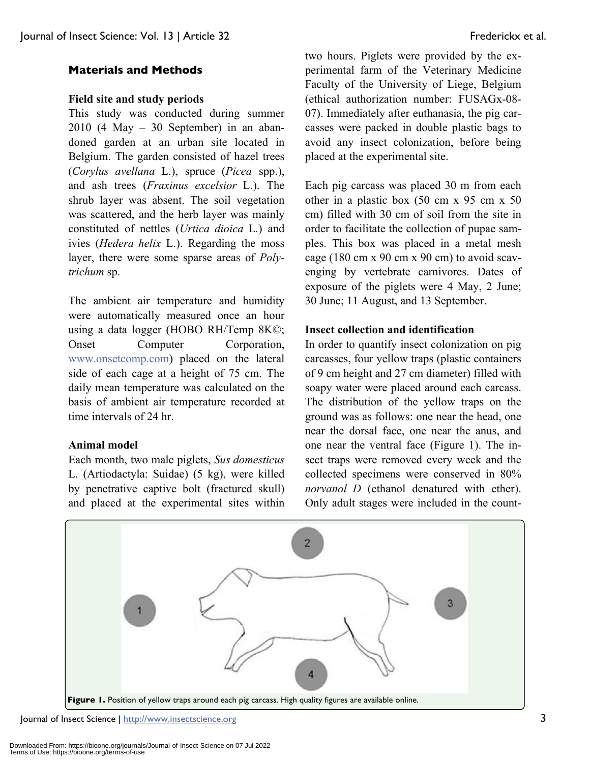### **Materials and Methods**

### **Field site and study periods**

This study was conducted during summer 2010 (4 May – 30 September) in an abandoned garden at an urban site located in Belgium. The garden consisted of hazel trees (*Corylus avellana* L.), spruce (*Picea* spp.), and ash trees (*Fraxinus excelsior* L.). The shrub layer was absent. The soil vegetation was scattered, and the herb layer was mainly constituted of nettles (*Urtica dioica* L*.*) and ivies (*Hedera helix* L.). Regarding the moss layer, there were some sparse areas of *Polytrichum* sp.

The ambient air temperature and humidity were automatically measured once an hour using a data logger (HOBO RH/Temp 8K©; Onset Computer Corporation, www.onsetcomp.com) placed on the lateral side of each cage at a height of 75 cm. The daily mean temperature was calculated on the basis of ambient air temperature recorded at time intervals of 24 hr.

### **Animal model**

Each month, two male piglets, *Sus domesticus* L. (Artiodactyla: Suidae) (5 kg), were killed by penetrative captive bolt (fractured skull) and placed at the experimental sites within two hours. Piglets were provided by the experimental farm of the Veterinary Medicine Faculty of the University of Liege, Belgium (ethical authorization number: FUSAGx-08- 07). Immediately after euthanasia, the pig carcasses were packed in double plastic bags to avoid any insect colonization, before being placed at the experimental site.

Each pig carcass was placed 30 m from each other in a plastic box (50 cm x 95 cm x 50 cm) filled with 30 cm of soil from the site in order to facilitate the collection of pupae samples. This box was placed in a metal mesh cage (180 cm x 90 cm x 90 cm) to avoid scavenging by vertebrate carnivores. Dates of exposure of the piglets were 4 May, 2 June; 30 June; 11 August, and 13 September.

### **Insect collection and identification**

In order to quantify insect colonization on pig carcasses, four yellow traps (plastic containers of 9 cm height and 27 cm diameter) filled with soapy water were placed around each carcass. The distribution of the yellow traps on the ground was as follows: one near the head, one near the dorsal face, one near the anus, and one near the ventral face (Figure 1). The insect traps were removed every week and the collected specimens were conserved in 80% *norvanol D* (ethanol denatured with ether). Only adult stages were included in the count-



Journal of Insect Science | http://www.insectscience.org 3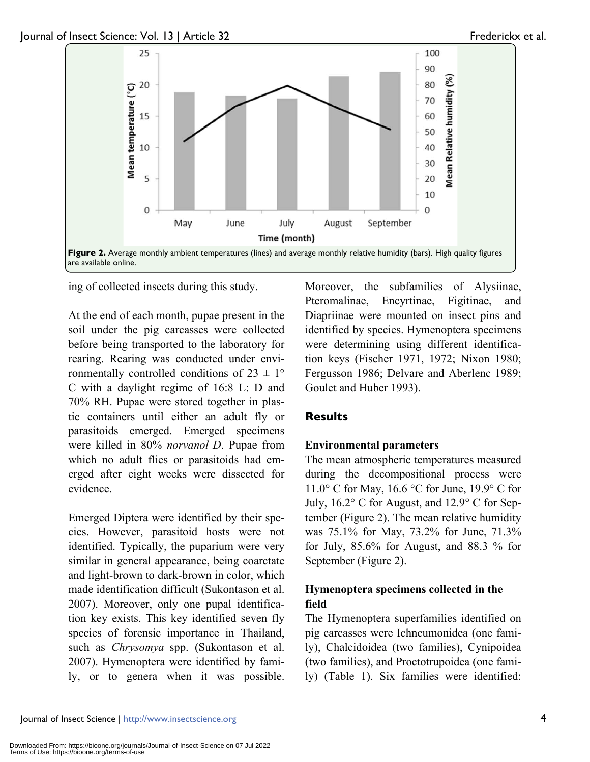

ing of collected insects during this study.

At the end of each month, pupae present in the soil under the pig carcasses were collected before being transported to the laboratory for rearing. Rearing was conducted under environmentally controlled conditions of  $23 \pm 1^{\circ}$ C with a daylight regime of 16:8 L: D and 70% RH. Pupae were stored together in plastic containers until either an adult fly or parasitoids emerged. Emerged specimens were killed in 80% *norvanol D*. Pupae from which no adult flies or parasitoids had emerged after eight weeks were dissected for evidence.

Emerged Diptera were identified by their species. However, parasitoid hosts were not identified. Typically, the puparium were very similar in general appearance, being coarctate and light-brown to dark-brown in color, which made identification difficult (Sukontason et al. 2007). Moreover, only one pupal identification key exists. This key identified seven fly species of forensic importance in Thailand, such as *Chrysomya* spp. (Sukontason et al. 2007). Hymenoptera were identified by family, or to genera when it was possible.

Moreover, the subfamilies of Alysiinae, Pteromalinae, Encyrtinae, Figitinae, and Diapriinae were mounted on insect pins and identified by species. Hymenoptera specimens were determining using different identification keys (Fischer 1971, 1972; Nixon 1980; Fergusson 1986; Delvare and Aberlenc 1989; Goulet and Huber 1993).

### **Results**

### **Environmental parameters**

The mean atmospheric temperatures measured during the decompositional process were 11.0° C for May, 16.6 °C for June, 19.9° C for July, 16.2° C for August, and 12.9° C for September (Figure 2). The mean relative humidity was 75.1% for May, 73.2% for June, 71.3% for July,  $85.6\%$  for August, and  $88.3\%$  for September (Figure 2).

### **Hymenoptera specimens collected in the field**

The Hymenoptera superfamilies identified on pig carcasses were Ichneumonidea (one family), Chalcidoidea (two families), Cynipoidea (two families), and Proctotrupoidea (one family) (Table 1). Six families were identified: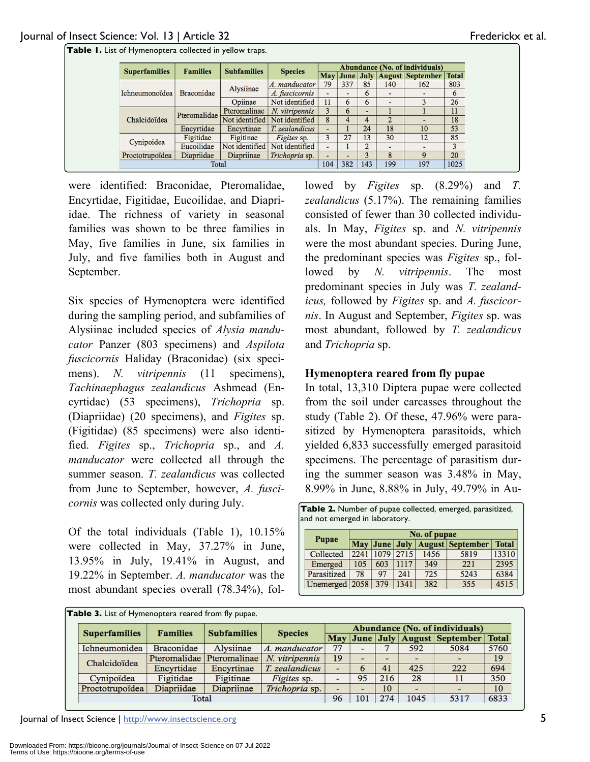| <b>Superfamilies</b> | <b>Families</b>   | <b>Subfamilies</b> | <b>Species</b> | <b>Abundance (No. of individuals)</b> |     |     |     |                                |              |  |
|----------------------|-------------------|--------------------|----------------|---------------------------------------|-----|-----|-----|--------------------------------|--------------|--|
|                      |                   |                    |                |                                       |     |     |     | May June July August September | <b>Total</b> |  |
|                      | <b>Braconidae</b> | Alysiinae          | A. manducator  | 79                                    | 337 | 85  | 140 | 162                            | 803          |  |
| Ichneumonoïdea       |                   |                    | A. fuscicornis |                                       |     | 6   |     |                                | 6            |  |
|                      |                   | Opiinae            | Not identified | 11                                    | 6   | 6   |     |                                | 26           |  |
| Chalcidoïdea         | Pteromalidae      | Pteromalinae       | N. vitripennis | 3                                     | 6   |     |     |                                | 11           |  |
|                      |                   | Not identified     | Not identified | 8                                     | 4   | 4   | C   |                                | 18           |  |
|                      | Encyrtidae        | Encyrtinae         | T. zealandicus | -                                     |     | 24  | 18  | 10                             | 53           |  |
| Cynipoïdea           | Figitidae         | Figitinae          | Figites sp.    | 3                                     | 27  | 13  | 30  | 12                             | 85           |  |
|                      | Eucoilidae        | Not identified     | Not identified |                                       |     |     |     |                                | 3            |  |
| Proctotrupoïdea      | Diapriidae        | Diapriinae         | Trichopria sp. | -                                     | -   |     | 8   | 9                              | 20           |  |
| Total                |                   |                    | 104            | 382                                   | 143 | 199 | 197 | 1025                           |              |  |

**Table 1.** List of Hymenoptera collected in yellow traps.

were identified: Braconidae, Pteromalidae, Encyrtidae, Figitidae, Eucoilidae, and Diapriidae. The richness of variety in seasonal families was shown to be three families in May, five families in June, six families in July, and five families both in August and September.

Six species of Hymenoptera were identified during the sampling period, and subfamilies of Alysiinae included species of *Alysia manducator* Panzer (803 specimens) and *Aspilota fuscicornis* Haliday (Braconidae) (six specimens). *N. vitripennis* (11 specimens), *Tachinaephagus zealandicus* Ashmead (Encyrtidae) (53 specimens), *Trichopria* sp. (Diapriidae) (20 specimens), and *Figites* sp. (Figitidae) (85 specimens) were also identified. *Figites* sp., *Trichopria* sp., and *A. manducator* were collected all through the summer season. *T. zealandicus* was collected from June to September, however, *A. fuscicornis* was collected only during July.

Of the total individuals (Table 1), 10.15% were collected in May, 37.27% in June, 13.95% in July, 19.41% in August, and 19.22% in September. *A. manducator* was the most abundant species overall (78.34%), followed by *Figites* sp. (8.29%) and *T. zealandicus* (5.17%). The remaining families consisted of fewer than 30 collected individuals. In May, *Figites* sp. and *N. vitripennis* were the most abundant species. During June, the predominant species was *Figites* sp., followed by *N. vitripennis*. The most predominant species in July was *T. zealandicus,* followed by *Figites* sp. and *A. fuscicornis*. In August and September, *Figites* sp. was most abundant, followed by *T. zealandicus* and *Trichopria* sp.

### **Hymenoptera reared from fly pupae**

In total, 13,310 Diptera pupae were collected from the soil under carcasses throughout the study (Table 2). Of these, 47.96% were parasitized by Hymenoptera parasitoids, which yielded 6,833 successfully emerged parasitoid specimens. The percentage of parasitism during the summer season was 3.48% in May, 8.99% in June, 8.88% in July, 49.79% in Au-

| Table 2. Number of pupae collected, emerged, parasitized, |  |
|-----------------------------------------------------------|--|
| and not emerged in laboratory.                            |  |

|                |      | No. of pupae |      |      |                                |              |  |  |  |  |  |  |
|----------------|------|--------------|------|------|--------------------------------|--------------|--|--|--|--|--|--|
| Pupae          |      |              |      |      | May June July August September | <b>Total</b> |  |  |  |  |  |  |
| Collected      | 2241 | 1079         | 2715 | 1456 | 5819                           | 13310        |  |  |  |  |  |  |
| Emerged        | 105  | 603          | 1117 | 349  | 221                            | 2395         |  |  |  |  |  |  |
| Parasitized    | 78   | 97           | 241  | 725  | 5243                           | 6384         |  |  |  |  |  |  |
| Unemerged 2058 |      | 379          | 1341 | 382  | 355                            | 4515         |  |  |  |  |  |  |

|  | Table 3. List of Hymenoptera reared from fly pupae. |                   |                                                                        |                |    |     |     |      |                                |              |
|--|-----------------------------------------------------|-------------------|------------------------------------------------------------------------|----------------|----|-----|-----|------|--------------------------------|--------------|
|  | <b>Superfamilies</b>                                | <b>Families</b>   | Abundance (No. of individuals)<br><b>Subfamilies</b><br><b>Species</b> |                |    |     |     |      |                                |              |
|  |                                                     |                   |                                                                        |                |    |     |     |      | May June July August September | <b>Total</b> |
|  | Ichneumonidea                                       | <b>Braconidae</b> | Alysiinae                                                              | A. manducator  | 77 |     |     | 592  | 5084                           | 5760         |
|  | Chalcidoïdea                                        |                   | Pteromalidae Pteromalinae                                              | N. vitripennis | 19 |     |     |      |                                | 19           |
|  |                                                     | Encyrtidae        | Encyrtinae                                                             | T. zealandicus | -  | 6   | 41  | 425  | 222                            | 694          |
|  | Cynipoïdea                                          | Figitidae         | Figitinae                                                              | Figites sp.    |    | 95  | 216 | 28   |                                | 350          |
|  | Proctotrupoïdea                                     | Diapriidae        | Diapriinae                                                             | Trichopria sp. |    |     | 10  |      |                                | 10           |
|  | Total                                               |                   |                                                                        |                |    | 101 | 274 | 1045 | 5317                           | 6833         |

Journal of Insect Science | http://www.insectscience.org 5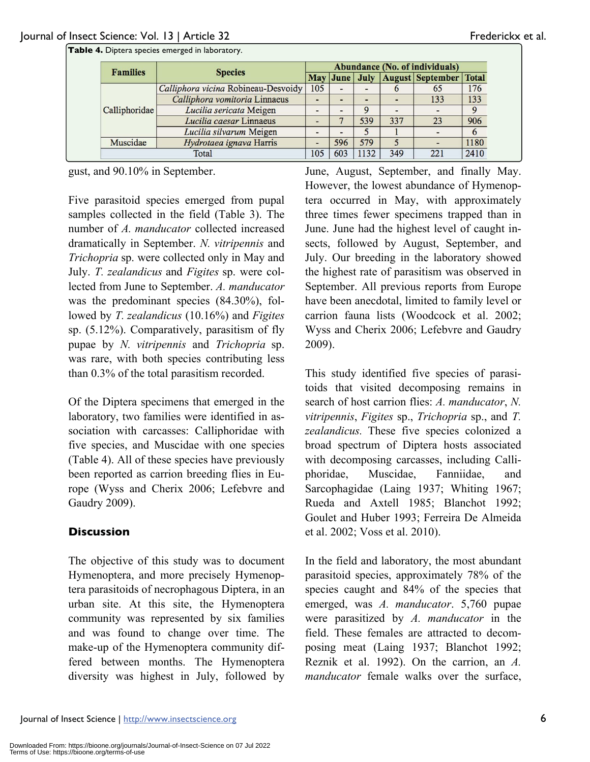| <b>Families</b> | <b>Species</b>                      |     | Abundance (No. of individuals) |      |     |                                              |      |  |  |
|-----------------|-------------------------------------|-----|--------------------------------|------|-----|----------------------------------------------|------|--|--|
|                 |                                     |     |                                |      |     | May June   July   August   September   Total |      |  |  |
| Calliphoridae   | Calliphora vicina Robineau-Desvoidy | 105 |                                |      | O   | 65                                           | 176  |  |  |
|                 | Calliphora vomitoria Linnaeus       |     |                                |      |     | 133                                          | 133  |  |  |
|                 | Lucilia sericata Meigen             |     |                                | Q    |     |                                              | 9    |  |  |
|                 | Lucilia caesar Linnaeus             |     |                                | 539  | 337 | 23                                           | 906  |  |  |
|                 | Lucilia silvarum Meigen             |     |                                |      |     |                                              | 6    |  |  |
| Muscidae        | Hydrotaea ignava Harris             |     | 596                            | 579  | 5   |                                              | 1180 |  |  |
| Total           |                                     |     | 603                            | 1132 | 349 | 221                                          | 2410 |  |  |

gust, and 90.10% in September.

Five parasitoid species emerged from pupal samples collected in the field (Table 3). The number of *A. manducator* collected increased dramatically in September. *N. vitripennis* and *Trichopria* sp. were collected only in May and July. *T. zealandicus* and *Figites* sp. were collected from June to September. *A. manducator* was the predominant species (84.30%), followed by *T. zealandicus* (10.16%) and *Figites* sp. (5.12%). Comparatively, parasitism of fly pupae by *N. vitripennis* and *Trichopria* sp. was rare, with both species contributing less than 0.3% of the total parasitism recorded.

Of the Diptera specimens that emerged in the laboratory, two families were identified in association with carcasses: Calliphoridae with five species, and Muscidae with one species (Table 4). All of these species have previously been reported as carrion breeding flies in Europe (Wyss and Cherix 2006; Lefebvre and Gaudry 2009).

### **Discussion**

The objective of this study was to document Hymenoptera, and more precisely Hymenoptera parasitoids of necrophagous Diptera, in an urban site. At this site, the Hymenoptera community was represented by six families and was found to change over time. The make-up of the Hymenoptera community differed between months. The Hymenoptera diversity was highest in July, followed by

June, August, September, and finally May. However, the lowest abundance of Hymenoptera occurred in May, with approximately three times fewer specimens trapped than in June. June had the highest level of caught insects, followed by August, September, and July. Our breeding in the laboratory showed the highest rate of parasitism was observed in September. All previous reports from Europe have been anecdotal, limited to family level or carrion fauna lists (Woodcock et al. 2002; Wyss and Cherix 2006; Lefebvre and Gaudry 2009).

This study identified five species of parasitoids that visited decomposing remains in search of host carrion flies: *A. manducator*, *N. vitripennis*, *Figites* sp., *Trichopria* sp., and *T. zealandicus.* These five species colonized a broad spectrum of Diptera hosts associated with decomposing carcasses, including Calliphoridae, Muscidae, Fanniidae, and Sarcophagidae (Laing 1937; Whiting 1967; Rueda and Axtell 1985; Blanchot 1992; Goulet and Huber 1993; Ferreira De Almeida et al. 2002; Voss et al. 2010).

In the field and laboratory, the most abundant parasitoid species, approximately 78% of the species caught and 84% of the species that emerged, was *A. manducator*. 5,760 pupae were parasitized by *A. manducator* in the field. These females are attracted to decomposing meat (Laing 1937; Blanchot 1992; Reznik et al. 1992). On the carrion, an *A. manducator* female walks over the surface,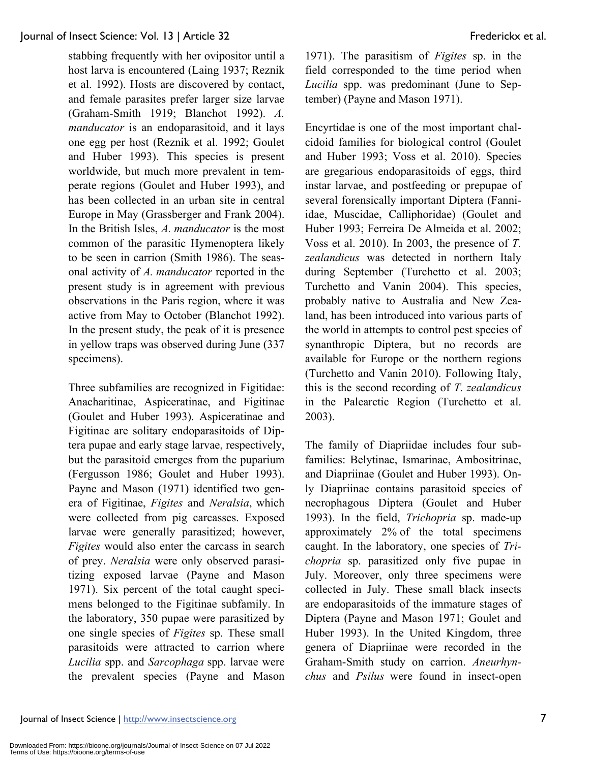stabbing frequently with her ovipositor until a host larva is encountered (Laing 1937; Reznik et al. 1992). Hosts are discovered by contact, and female parasites prefer larger size larvae (Graham-Smith 1919; Blanchot 1992). *A. manducator* is an endoparasitoid, and it lays one egg per host (Reznik et al. 1992; Goulet and Huber 1993). This species is present worldwide, but much more prevalent in temperate regions (Goulet and Huber 1993), and has been collected in an urban site in central Europe in May (Grassberger and Frank 2004). In the British Isles, *A. manducator* is the most common of the parasitic Hymenoptera likely to be seen in carrion (Smith 1986). The seasonal activity of *A. manducator* reported in the present study is in agreement with previous observations in the Paris region, where it was active from May to October (Blanchot 1992). In the present study, the peak of it is presence in yellow traps was observed during June (337 specimens).

Three subfamilies are recognized in Figitidae: Anacharitinae, Aspiceratinae, and Figitinae (Goulet and Huber 1993). Aspiceratinae and Figitinae are solitary endoparasitoids of Diptera pupae and early stage larvae, respectively, but the parasitoid emerges from the puparium (Fergusson 1986; Goulet and Huber 1993). Payne and Mason (1971) identified two genera of Figitinae, *Figites* and *Neralsia*, which were collected from pig carcasses. Exposed larvae were generally parasitized; however, *Figites* would also enter the carcass in search of prey. *Neralsia* were only observed parasitizing exposed larvae (Payne and Mason 1971). Six percent of the total caught specimens belonged to the Figitinae subfamily. In the laboratory, 350 pupae were parasitized by one single species of *Figites* sp. These small parasitoids were attracted to carrion where *Lucilia* spp. and *Sarcophaga* spp. larvae were the prevalent species (Payne and Mason

1971). The parasitism of *Figites* sp. in the field corresponded to the time period when *Lucilia* spp. was predominant (June to September) (Payne and Mason 1971).

Encyrtidae is one of the most important chalcidoid families for biological control (Goulet and Huber 1993; Voss et al. 2010). Species are gregarious endoparasitoids of eggs, third instar larvae, and postfeeding or prepupae of several forensically important Diptera (Fanniidae, Muscidae, Calliphoridae) (Goulet and Huber 1993; Ferreira De Almeida et al. 2002; Voss et al. 2010). In 2003, the presence of *T. zealandicus* was detected in northern Italy during September (Turchetto et al. 2003; Turchetto and Vanin 2004). This species, probably native to Australia and New Zealand, has been introduced into various parts of the world in attempts to control pest species of synanthropic Diptera, but no records are available for Europe or the northern regions (Turchetto and Vanin 2010). Following Italy, this is the second recording of *T. zealandicus*  in the Palearctic Region (Turchetto et al. 2003).

The family of Diapriidae includes four subfamilies: Belytinae, Ismarinae, Ambositrinae, and Diapriinae (Goulet and Huber 1993). Only Diapriinae contains parasitoid species of necrophagous Diptera (Goulet and Huber 1993). In the field, *Trichopria* sp. made-up approximately 2% of the total specimens caught. In the laboratory, one species of *Trichopria* sp. parasitized only five pupae in July. Moreover, only three specimens were collected in July. These small black insects are endoparasitoids of the immature stages of Diptera (Payne and Mason 1971; Goulet and Huber 1993). In the United Kingdom, three genera of Diapriinae were recorded in the Graham-Smith study on carrion. *Aneurhynchus* and *Psilus* were found in insect-open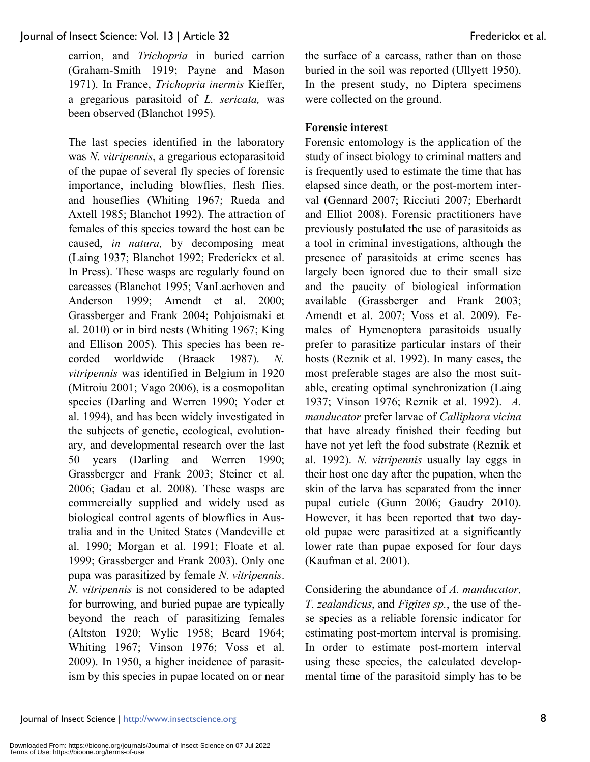carrion, and *Trichopria* in buried carrion (Graham-Smith 1919; Payne and Mason 1971). In France, *Trichopria inermis* Kieffer, a gregarious parasitoid of *L. sericata,* was been observed (Blanchot 1995)*.* 

The last species identified in the laboratory was *N. vitripennis*, a gregarious ectoparasitoid of the pupae of several fly species of forensic importance, including blowflies, flesh flies. and houseflies (Whiting 1967; Rueda and Axtell 1985; Blanchot 1992). The attraction of females of this species toward the host can be caused, *in natura,* by decomposing meat (Laing 1937; Blanchot 1992; Frederickx et al. In Press). These wasps are regularly found on carcasses (Blanchot 1995; VanLaerhoven and Anderson 1999; Amendt et al. 2000; Grassberger and Frank 2004; Pohjoismaki et al. 2010) or in bird nests (Whiting 1967; King and Ellison 2005). This species has been recorded worldwide (Braack 1987). *N. vitripennis* was identified in Belgium in 1920 (Mitroiu 2001; Vago 2006), is a cosmopolitan species (Darling and Werren 1990; Yoder et al. 1994), and has been widely investigated in the subjects of genetic, ecological, evolutionary, and developmental research over the last 50 years (Darling and Werren 1990; Grassberger and Frank 2003; Steiner et al. 2006; Gadau et al. 2008). These wasps are commercially supplied and widely used as biological control agents of blowflies in Australia and in the United States (Mandeville et al. 1990; Morgan et al. 1991; Floate et al. 1999; Grassberger and Frank 2003). Only one pupa was parasitized by female *N. vitripennis*. *N. vitripennis* is not considered to be adapted for burrowing, and buried pupae are typically beyond the reach of parasitizing females (Altston 1920; Wylie 1958; Beard 1964; Whiting 1967; Vinson 1976; Voss et al. 2009). In 1950, a higher incidence of parasitism by this species in pupae located on or near the surface of a carcass, rather than on those buried in the soil was reported (Ullyett 1950). In the present study, no Diptera specimens were collected on the ground.

### **Forensic interest**

Forensic entomology is the application of the study of insect biology to criminal matters and is frequently used to estimate the time that has elapsed since death, or the post-mortem interval (Gennard 2007; Ricciuti 2007; Eberhardt and Elliot 2008). Forensic practitioners have previously postulated the use of parasitoids as a tool in criminal investigations, although the presence of parasitoids at crime scenes has largely been ignored due to their small size and the paucity of biological information available (Grassberger and Frank 2003; Amendt et al. 2007; Voss et al. 2009). Females of Hymenoptera parasitoids usually prefer to parasitize particular instars of their hosts (Reznik et al. 1992). In many cases, the most preferable stages are also the most suitable, creating optimal synchronization (Laing 1937; Vinson 1976; Reznik et al. 1992). *A. manducator* prefer larvae of *Calliphora vicina* that have already finished their feeding but have not yet left the food substrate (Reznik et al. 1992). *N. vitripennis* usually lay eggs in their host one day after the pupation, when the skin of the larva has separated from the inner pupal cuticle (Gunn 2006; Gaudry 2010). However, it has been reported that two dayold pupae were parasitized at a significantly lower rate than pupae exposed for four days (Kaufman et al. 2001).

Considering the abundance of *A. manducator, T. zealandicus*, and *Figites sp.*, the use of these species as a reliable forensic indicator for estimating post-mortem interval is promising. In order to estimate post-mortem interval using these species, the calculated developmental time of the parasitoid simply has to be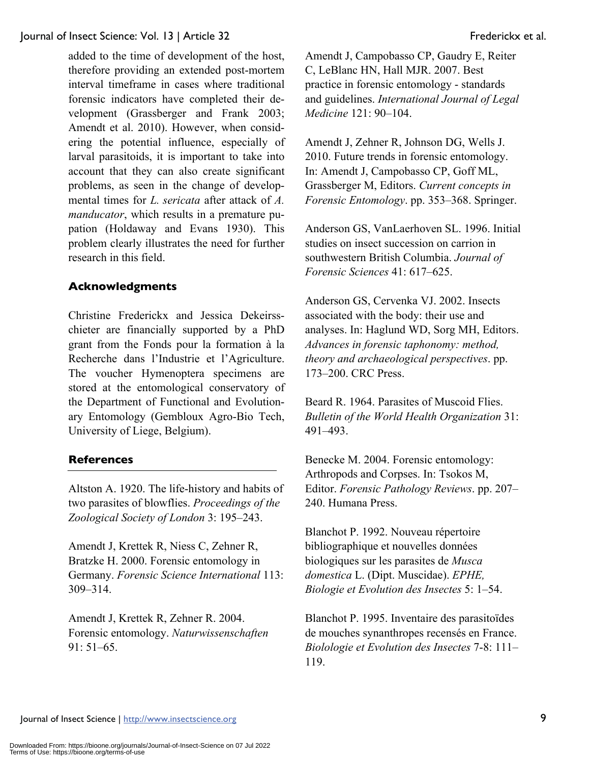added to the time of development of the host, therefore providing an extended post-mortem interval timeframe in cases where traditional forensic indicators have completed their development (Grassberger and Frank 2003; Amendt et al. 2010). However, when considering the potential influence, especially of larval parasitoids, it is important to take into account that they can also create significant problems, as seen in the change of developmental times for *L. sericata* after attack of *A. manducator*, which results in a premature pupation (Holdaway and Evans 1930). This problem clearly illustrates the need for further research in this field.

### **Acknowledgments**

Christine Frederickx and Jessica Dekeirsschieter are financially supported by a PhD grant from the Fonds pour la formation à la Recherche dans l'Industrie et l'Agriculture. The voucher Hymenoptera specimens are stored at the entomological conservatory of the Department of Functional and Evolutionary Entomology (Gembloux Agro-Bio Tech, University of Liege, Belgium).

### **References**

Altston A. 1920. The life-history and habits of two parasites of blowflies. *Proceedings of the Zoological Society of London* 3: 195–243.

Amendt J, Krettek R, Niess C, Zehner R, Bratzke H. 2000. Forensic entomology in Germany. *Forensic Science International* 113: 309–314.

Amendt J, Krettek R, Zehner R. 2004. Forensic entomology. *Naturwissenschaften* 91: 51–65.

Amendt J, Campobasso CP, Gaudry E, Reiter C, LeBlanc HN, Hall MJR. 2007. Best practice in forensic entomology - standards and guidelines. *International Journal of Legal Medicine* 121: 90–104.

Amendt J, Zehner R, Johnson DG, Wells J. 2010. Future trends in forensic entomology. In: Amendt J, Campobasso CP, Goff ML, Grassberger M, Editors. *Current concepts in Forensic Entomology*. pp. 353–368. Springer.

Anderson GS, VanLaerhoven SL. 1996. Initial studies on insect succession on carrion in southwestern British Columbia. *Journal of Forensic Sciences* 41: 617–625.

Anderson GS, Cervenka VJ. 2002. Insects associated with the body: their use and analyses. In: Haglund WD, Sorg MH, Editors. *Advances in forensic taphonomy: method, theory and archaeological perspectives*. pp. 173–200. CRC Press.

Beard R. 1964. Parasites of Muscoid Flies. *Bulletin of the World Health Organization* 31: 491–493.

Benecke M. 2004. Forensic entomology: Arthropods and Corpses. In: Tsokos M, Editor. *Forensic Pathology Reviews*. pp. 207– 240. Humana Press.

Blanchot P. 1992. Nouveau répertoire bibliographique et nouvelles données biologiques sur les parasites de *Musca domestica* L. (Dipt. Muscidae). *EPHE, Biologie et Evolution des Insectes* 5: 1–54.

Blanchot P. 1995. Inventaire des parasitoïdes de mouches synanthropes recensés en France. *Biolologie et Evolution des Insectes* 7-8: 111– 119.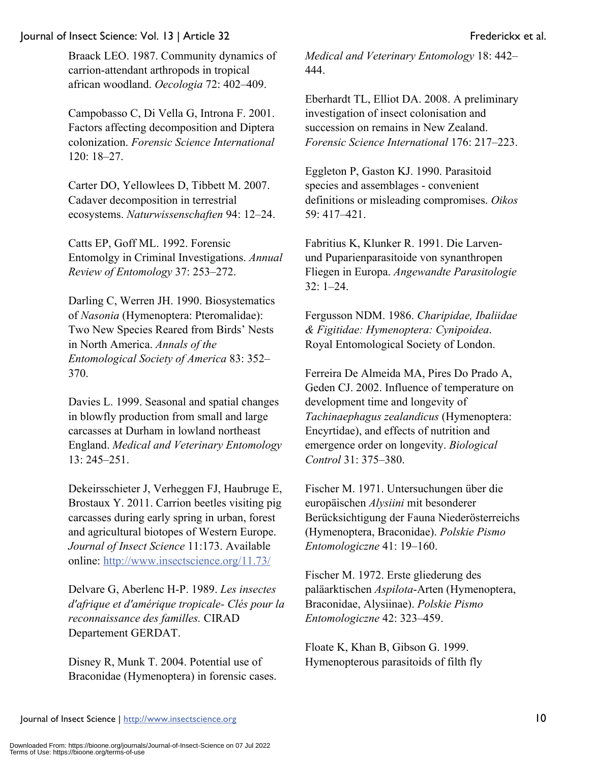Braack LEO. 1987. Community dynamics of carrion-attendant arthropods in tropical african woodland. *Oecologia* 72: 402–409.

Campobasso C, Di Vella G, Introna F. 2001. Factors affecting decomposition and Diptera colonization. *Forensic Science International* 120: 18–27.

Carter DO, Yellowlees D, Tibbett M. 2007. Cadaver decomposition in terrestrial ecosystems. *Naturwissenschaften* 94: 12–24.

Catts EP, Goff ML. 1992. Forensic Entomolgy in Criminal Investigations. *Annual Review of Entomology* 37: 253–272.

Darling C, Werren JH. 1990. Biosystematics of *Nasonia* (Hymenoptera: Pteromalidae): Two New Species Reared from Birds' Nests in North America. *Annals of the Entomological Society of America* 83: 352– 370.

Davies L. 1999. Seasonal and spatial changes in blowfly production from small and large carcasses at Durham in lowland northeast England. *Medical and Veterinary Entomology* 13: 245–251.

Dekeirsschieter J, Verheggen FJ, Haubruge E, Brostaux Y. 2011. Carrion beetles visiting pig carcasses during early spring in urban, forest and agricultural biotopes of Western Europe. *Journal of Insect Science* 11:173. Available online: http://www.insectscience.org/11.73/

Delvare G, Aberlenc H-P. 1989. *Les insectes d'afrique et d'amérique tropicale- Clés pour la reconnaissance des familles.* CIRAD Departement GERDAT.

Disney R, Munk T. 2004. Potential use of Braconidae (Hymenoptera) in forensic cases. *Medical and Veterinary Entomology* 18: 442– 444.

Eberhardt TL, Elliot DA. 2008. A preliminary investigation of insect colonisation and succession on remains in New Zealand. *Forensic Science International* 176: 217–223.

Eggleton P, Gaston KJ. 1990. Parasitoid species and assemblages - convenient definitions or misleading compromises. *Oikos* 59: 417–421.

Fabritius K, Klunker R. 1991. Die Larvenund Puparienparasitoide von synanthropen Fliegen in Europa. *Angewandte Parasitologie* 32: 1–24.

Fergusson NDM. 1986. *Charipidae, Ibaliidae & Figitidae: Hymenoptera: Cynipoidea*. Royal Entomological Society of London.

Ferreira De Almeida MA, Pires Do Prado A, Geden CJ. 2002. Influence of temperature on development time and longevity of *Tachinaephagus zealandicus* (Hymenoptera: Encyrtidae), and effects of nutrition and emergence order on longevity. *Biological Control* 31: 375–380.

Fischer M. 1971. Untersuchungen über die europäischen *Alysiini* mit besonderer Berücksichtigung der Fauna Niederösterreichs (Hymenoptera, Braconidae). *Polskie Pismo Entomologiczne* 41: 19–160.

Fischer M. 1972. Erste gliederung des paläarktischen *Aspilota*-Arten (Hymenoptera, Braconidae, Alysiinae). *Polskie Pismo Entomologiczne* 42: 323–459.

Floate K, Khan B, Gibson G. 1999. Hymenopterous parasitoids of filth fly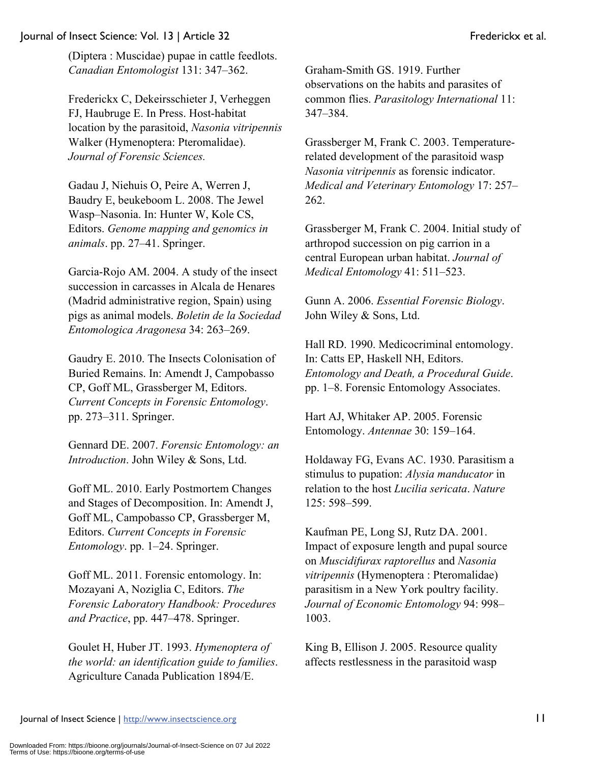(Diptera : Muscidae) pupae in cattle feedlots. *Canadian Entomologist* 131: 347–362.

Frederickx C, Dekeirsschieter J, Verheggen FJ, Haubruge E. In Press. Host-habitat location by the parasitoid, *Nasonia vitripennis* Walker (Hymenoptera: Pteromalidae). *Journal of Forensic Sciences.*

Gadau J, Niehuis O, Peire A, Werren J, Baudry E, beukeboom L. 2008. The Jewel Wasp–Nasonia. In: Hunter W, Kole CS, Editors. *Genome mapping and genomics in animals*. pp. 27–41. Springer.

Garcia-Rojo AM. 2004. A study of the insect succession in carcasses in Alcala de Henares (Madrid administrative region, Spain) using pigs as animal models. *Boletin de la Sociedad Entomologica Aragonesa* 34: 263–269.

Gaudry E. 2010. The Insects Colonisation of Buried Remains. In: Amendt J, Campobasso CP, Goff ML, Grassberger M, Editors. *Current Concepts in Forensic Entomology*. pp. 273–311. Springer.

Gennard DE. 2007. *Forensic Entomology: an Introduction*. John Wiley & Sons, Ltd.

Goff ML. 2010. Early Postmortem Changes and Stages of Decomposition. In: Amendt J, Goff ML, Campobasso CP, Grassberger M, Editors. *Current Concepts in Forensic Entomology*. pp. 1–24. Springer.

Goff ML. 2011. Forensic entomology. In: Mozayani A, Noziglia C, Editors. *The Forensic Laboratory Handbook: Procedures and Practice*, pp. 447–478. Springer.

Goulet H, Huber JT. 1993. *Hymenoptera of the world: an identification guide to families*. Agriculture Canada Publication 1894/E.

Graham-Smith GS. 1919. Further observations on the habits and parasites of common flies. *Parasitology International* 11: 347–384.

Grassberger M, Frank C. 2003. Temperaturerelated development of the parasitoid wasp *Nasonia vitripennis* as forensic indicator. *Medical and Veterinary Entomology* 17: 257– 262.

Grassberger M, Frank C. 2004. Initial study of arthropod succession on pig carrion in a central European urban habitat. *Journal of Medical Entomology* 41: 511–523.

Gunn A. 2006. *Essential Forensic Biology*. John Wiley & Sons, Ltd.

Hall RD. 1990. Medicocriminal entomology. In: Catts EP, Haskell NH, Editors. *Entomology and Death, a Procedural Guide*. pp. 1–8. Forensic Entomology Associates.

Hart AJ, Whitaker AP. 2005. Forensic Entomology. *Antennae* 30: 159–164.

Holdaway FG, Evans AC. 1930. Parasitism a stimulus to pupation: *Alysia manducator* in relation to the host *Lucilia sericata*. *Nature* 125: 598–599.

Kaufman PE, Long SJ, Rutz DA. 2001. Impact of exposure length and pupal source on *Muscidifurax raptorellus* and *Nasonia vitripennis* (Hymenoptera : Pteromalidae) parasitism in a New York poultry facility. *Journal of Economic Entomology* 94: 998– 1003.

King B, Ellison J. 2005. Resource quality affects restlessness in the parasitoid wasp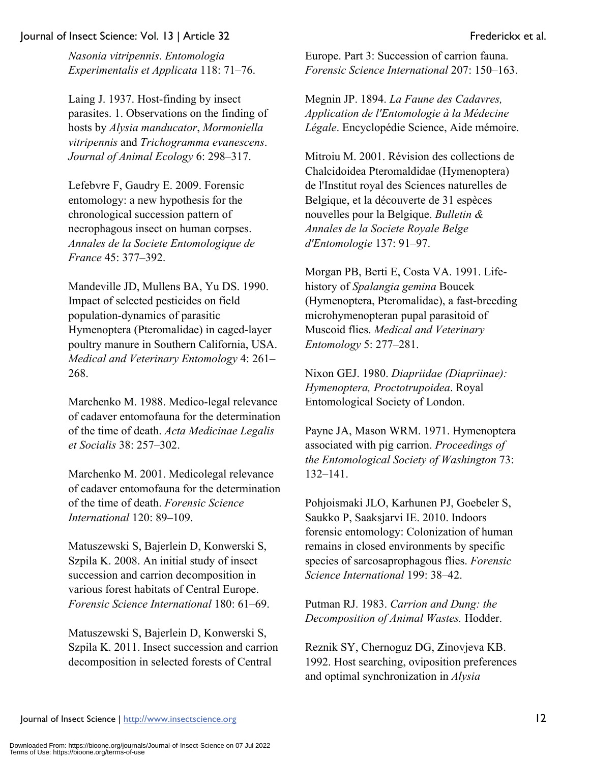*Nasonia vitripennis*. *Entomologia Experimentalis et Applicata* 118: 71–76.

Laing J. 1937. Host-finding by insect parasites. 1. Observations on the finding of hosts by *Alysia manducator*, *Mormoniella vitripennis* and *Trichogramma evanescens*. *Journal of Animal Ecology* 6: 298–317.

Lefebvre F, Gaudry E. 2009. Forensic entomology: a new hypothesis for the chronological succession pattern of necrophagous insect on human corpses. *Annales de la Societe Entomologique de France* 45: 377–392.

Mandeville JD, Mullens BA, Yu DS. 1990. Impact of selected pesticides on field population-dynamics of parasitic Hymenoptera (Pteromalidae) in caged-layer poultry manure in Southern California, USA. *Medical and Veterinary Entomology* 4: 261– 268.

Marchenko M. 1988. Medico-legal relevance of cadaver entomofauna for the determination of the time of death. *Acta Medicinae Legalis et Socialis* 38: 257–302.

Marchenko M. 2001. Medicolegal relevance of cadaver entomofauna for the determination of the time of death. *Forensic Science International* 120: 89–109.

Matuszewski S, Bajerlein D, Konwerski S, Szpila K. 2008. An initial study of insect succession and carrion decomposition in various forest habitats of Central Europe. *Forensic Science International* 180: 61–69.

Matuszewski S, Bajerlein D, Konwerski S, Szpila K. 2011. Insect succession and carrion decomposition in selected forests of Central

Europe. Part 3: Succession of carrion fauna. *Forensic Science International* 207: 150–163.

Megnin JP. 1894. *La Faune des Cadavres, Application de l'Entomologie à la Médecine Légale*. Encyclopédie Science, Aide mémoire.

Mitroiu M. 2001. Révision des collections de Chalcidoidea Pteromaldidae (Hymenoptera) de l'Institut royal des Sciences naturelles de Belgique, et la découverte de 31 espèces nouvelles pour la Belgique. *Bulletin & Annales de la Societe Royale Belge d'Entomologie* 137: 91–97.

Morgan PB, Berti E, Costa VA. 1991. Lifehistory of *Spalangia gemina* Boucek (Hymenoptera, Pteromalidae), a fast-breeding microhymenopteran pupal parasitoid of Muscoid flies. *Medical and Veterinary Entomology* 5: 277–281.

Nixon GEJ. 1980. *Diapriidae (Diapriinae): Hymenoptera, Proctotrupoidea*. Royal Entomological Society of London.

Payne JA, Mason WRM. 1971. Hymenoptera associated with pig carrion. *Proceedings of the Entomological Society of Washington* 73: 132–141.

Pohjoismaki JLO, Karhunen PJ, Goebeler S, Saukko P, Saaksjarvi IE. 2010. Indoors forensic entomology: Colonization of human remains in closed environments by specific species of sarcosaprophagous flies. *Forensic Science International* 199: 38–42.

Putman RJ. 1983. *Carrion and Dung: the Decomposition of Animal Wastes.* Hodder.

Reznik SY, Chernoguz DG, Zinovjeva KB. 1992. Host searching, oviposition preferences and optimal synchronization in *Alysia*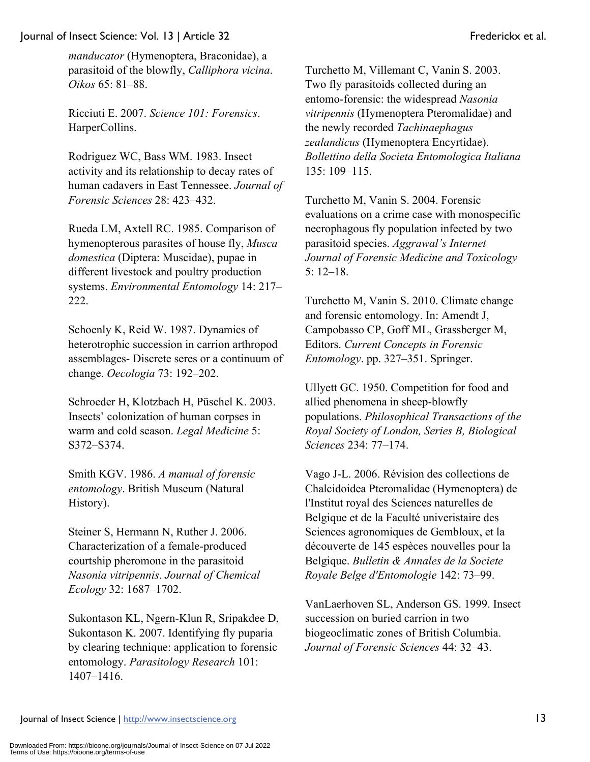*manducator* (Hymenoptera, Braconidae), a parasitoid of the blowfly, *Calliphora vicina*. *Oikos* 65: 81–88.

Ricciuti E. 2007. *Science 101: Forensics*. HarperCollins.

Rodriguez WC, Bass WM. 1983. Insect activity and its relationship to decay rates of human cadavers in East Tennessee. *Journal of Forensic Sciences* 28: 423–432.

Rueda LM, Axtell RC. 1985. Comparison of hymenopterous parasites of house fly, *Musca domestica* (Diptera: Muscidae), pupae in different livestock and poultry production systems. *Environmental Entomology* 14: 217– 222.

Schoenly K, Reid W. 1987. Dynamics of heterotrophic succession in carrion arthropod assemblages- Discrete seres or a continuum of change. *Oecologia* 73: 192–202.

Schroeder H, Klotzbach H, Püschel K. 2003. Insects' colonization of human corpses in warm and cold season. *Legal Medicine* 5: S372–S374.

Smith KGV. 1986. *A manual of forensic entomology*. British Museum (Natural History).

Steiner S, Hermann N, Ruther J. 2006. Characterization of a female-produced courtship pheromone in the parasitoid *Nasonia vitripennis*. *Journal of Chemical Ecology* 32: 1687–1702.

Sukontason KL, Ngern-Klun R, Sripakdee D, Sukontason K. 2007. Identifying fly puparia by clearing technique: application to forensic entomology. *Parasitology Research* 101: 1407–1416.

Turchetto M, Villemant C, Vanin S. 2003. Two fly parasitoids collected during an entomo-forensic: the widespread *Nasonia vitripennis* (Hymenoptera Pteromalidae) and the newly recorded *Tachinaephagus zealandicus* (Hymenoptera Encyrtidae). *Bollettino della Societa Entomologica Italiana* 135: 109–115.

Turchetto M, Vanin S. 2004. Forensic evaluations on a crime case with monospecific necrophagous fly population infected by two parasitoid species. *Aggrawal's Internet Journal of Forensic Medicine and Toxicology* 5: 12–18.

Turchetto M, Vanin S. 2010. Climate change and forensic entomology. In: Amendt J, Campobasso CP, Goff ML, Grassberger M, Editors. *Current Concepts in Forensic Entomology*. pp. 327–351. Springer.

Ullyett GC. 1950. Competition for food and allied phenomena in sheep-blowfly populations. *Philosophical Transactions of the Royal Society of London, Series B, Biological Sciences* 234: 77–174.

Vago J-L. 2006. Révision des collections de Chalcidoidea Pteromalidae (Hymenoptera) de l'Institut royal des Sciences naturelles de Belgique et de la Faculté univeristaire des Sciences agronomiques de Gembloux, et la découverte de 145 espèces nouvelles pour la Belgique. *Bulletin & Annales de la Societe Royale Belge d'Entomologie* 142: 73–99.

VanLaerhoven SL, Anderson GS. 1999. Insect succession on buried carrion in two biogeoclimatic zones of British Columbia. *Journal of Forensic Sciences* 44: 32–43.